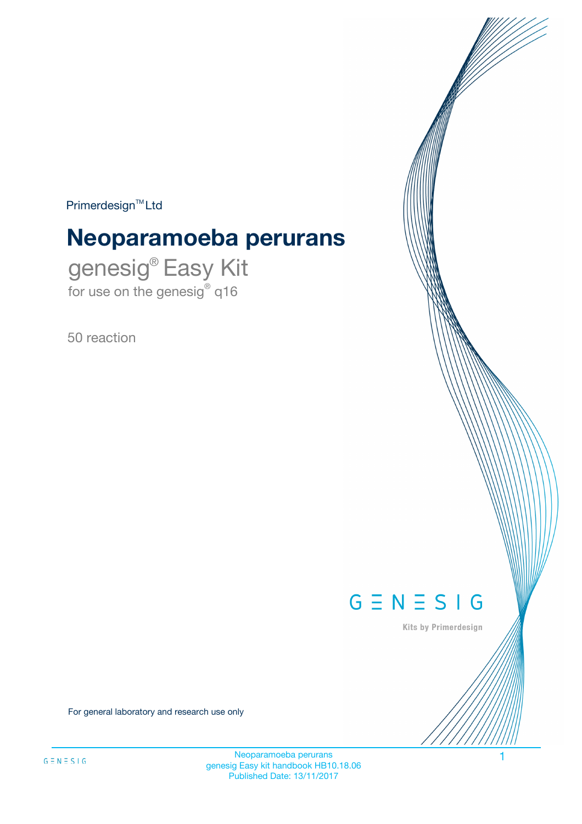$Primerdesign^{\text{TM}}Ltd$ 

# **Neoparamoeba perurans**

genesig® Easy Kit for use on the genesig® q16

50 reaction



Kits by Primerdesign

For general laboratory and research use only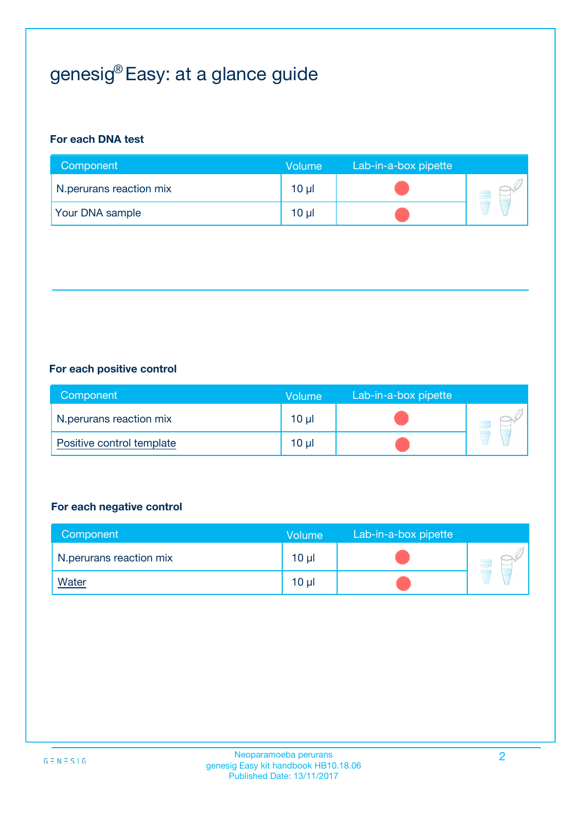# genesig® Easy: at a glance guide

## **For each DNA test**

| Component               | <b>Volume</b> | Lab-in-a-box pipette |  |
|-------------------------|---------------|----------------------|--|
| N.perurans reaction mix | 10 µl         |                      |  |
| <b>Your DNA sample</b>  | 10 µl         |                      |  |

## **For each positive control**

| Component                 | Volume   | Lab-in-a-box pipette |  |
|---------------------------|----------|----------------------|--|
| N.perurans reaction mix   | $10 \mu$ |                      |  |
| Positive control template | $10 \mu$ |                      |  |

## **For each negative control**

| Component               | <b>Volume</b>   | Lab-in-a-box pipette |  |
|-------------------------|-----------------|----------------------|--|
| N.perurans reaction mix | 10 <sub>µ</sub> |                      |  |
| <u>Water</u>            | 10 <sub>µ</sub> |                      |  |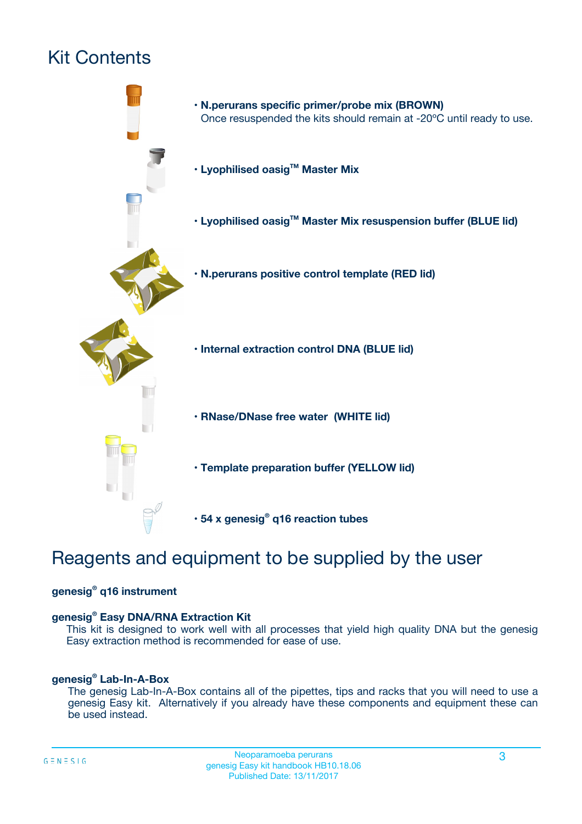# Kit Contents



# Reagents and equipment to be supplied by the user

## **genesig® q16 instrument**

## **genesig® Easy DNA/RNA Extraction Kit**

This kit is designed to work well with all processes that yield high quality DNA but the genesig Easy extraction method is recommended for ease of use.

## **genesig® Lab-In-A-Box**

The genesig Lab-In-A-Box contains all of the pipettes, tips and racks that you will need to use a genesig Easy kit. Alternatively if you already have these components and equipment these can be used instead.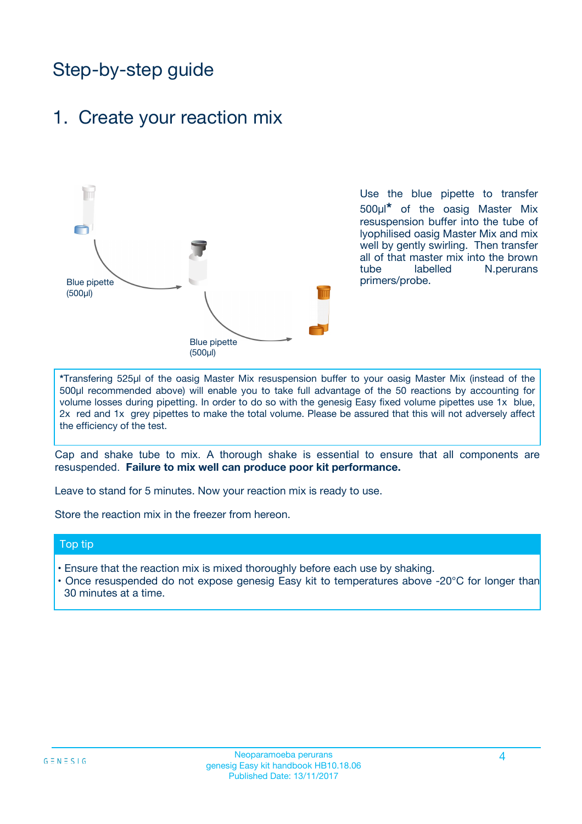# Step-by-step guide

## 1. Create your reaction mix



Use the blue pipette to transfer 500µl**\*** of the oasig Master Mix resuspension buffer into the tube of lyophilised oasig Master Mix and mix well by gently swirling. Then transfer all of that master mix into the brown tube labelled N.perurans primers/probe.

**\***Transfering 525µl of the oasig Master Mix resuspension buffer to your oasig Master Mix (instead of the 500µl recommended above) will enable you to take full advantage of the 50 reactions by accounting for volume losses during pipetting. In order to do so with the genesig Easy fixed volume pipettes use 1x blue, 2x red and 1x grey pipettes to make the total volume. Please be assured that this will not adversely affect the efficiency of the test.

Cap and shake tube to mix. A thorough shake is essential to ensure that all components are resuspended. **Failure to mix well can produce poor kit performance.**

Leave to stand for 5 minutes. Now your reaction mix is ready to use.

Store the reaction mix in the freezer from hereon.

## Top tip

- Ensure that the reaction mix is mixed thoroughly before each use by shaking.
- Once resuspended do not expose genesig Easy kit to temperatures above -20°C for longer than 30 minutes at a time.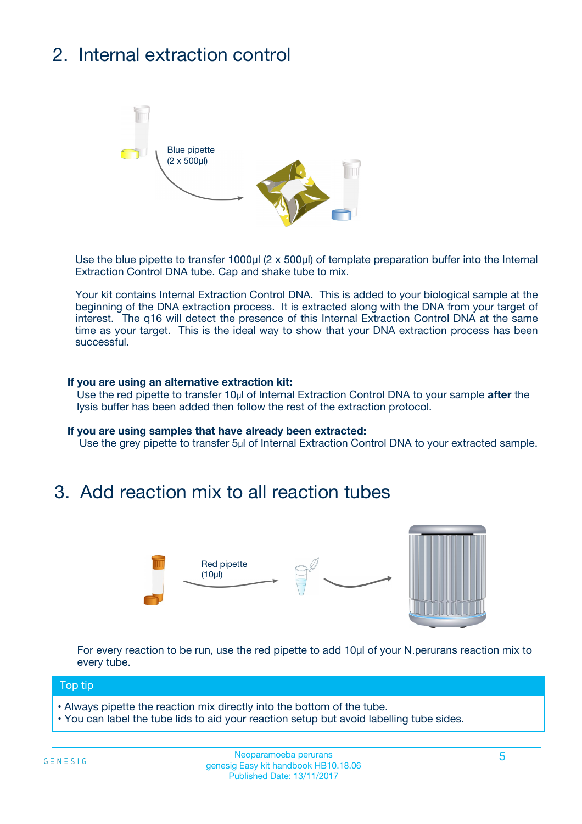# 2. Internal extraction control



Use the blue pipette to transfer 1000µl (2 x 500µl) of template preparation buffer into the Internal Extraction Control DNA tube. Cap and shake tube to mix.

Your kit contains Internal Extraction Control DNA. This is added to your biological sample at the beginning of the DNA extraction process. It is extracted along with the DNA from your target of interest. The q16 will detect the presence of this Internal Extraction Control DNA at the same time as your target. This is the ideal way to show that your DNA extraction process has been successful.

### **If you are using an alternative extraction kit:**

Use the red pipette to transfer 10µl of Internal Extraction Control DNA to your sample **after** the lysis buffer has been added then follow the rest of the extraction protocol.

#### **If you are using samples that have already been extracted:**

Use the grey pipette to transfer 5µl of Internal Extraction Control DNA to your extracted sample.

## 3. Add reaction mix to all reaction tubes



For every reaction to be run, use the red pipette to add 10µl of your N.perurans reaction mix to every tube.

### Top tip

- Always pipette the reaction mix directly into the bottom of the tube.
- You can label the tube lids to aid your reaction setup but avoid labelling tube sides.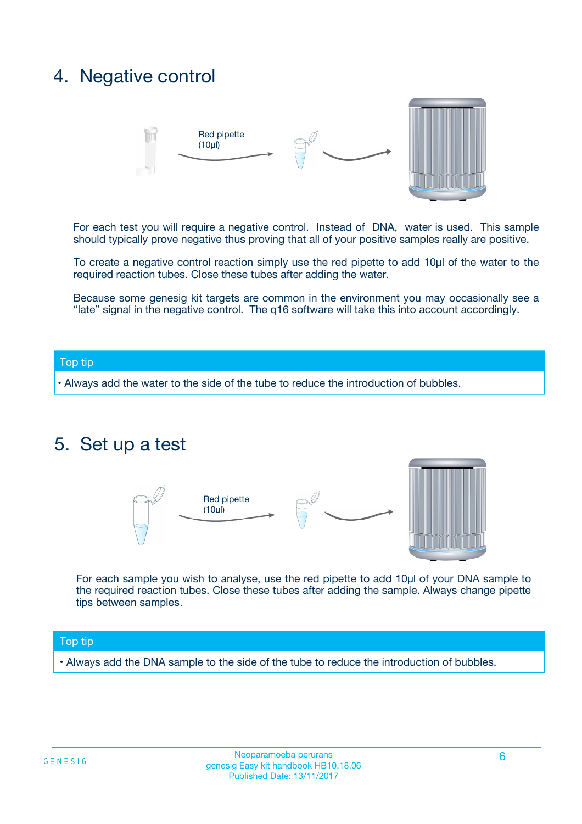## 4. Negative control



For each test you will require a negative control. Instead of DNA, water is used. This sample should typically prove negative thus proving that all of your positive samples really are positive.

To create a negative control reaction simply use the red pipette to add 10µl of the water to the required reaction tubes. Close these tubes after adding the water.

Because some genesig kit targets are common in the environment you may occasionally see a "late" signal in the negative control. The q16 software will take this into account accordingly.

## Top tip

**•** Always add the water to the side of the tube to reduce the introduction of bubbles.

## 5. Set up a test



For each sample you wish to analyse, use the red pipette to add 10µl of your DNA sample to the required reaction tubes. Close these tubes after adding the sample. Always change pipette tips between samples.

### Top tip

**•** Always add the DNA sample to the side of the tube to reduce the introduction of bubbles.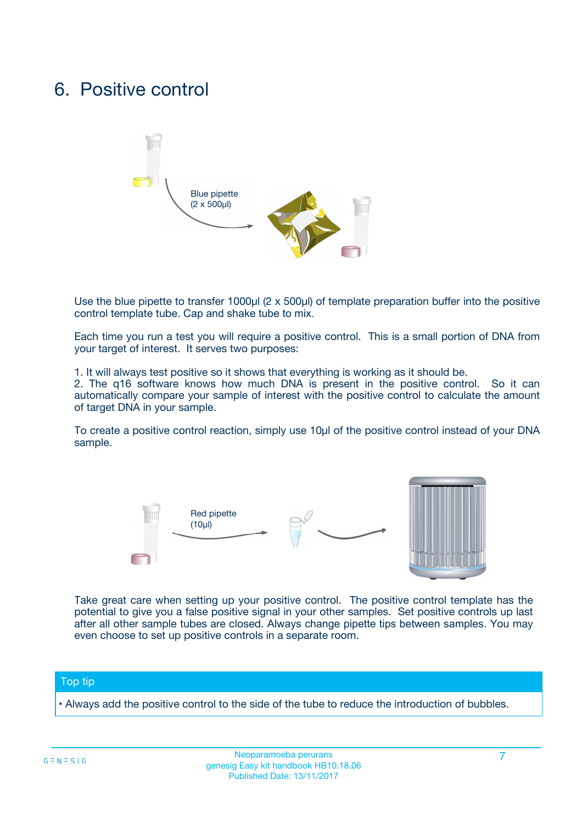## 6. Positive control



Use the blue pipette to transfer 1000µl (2 x 500µl) of template preparation buffer into the positive control template tube. Cap and shake tube to mix.

Each time you run a test you will require a positive control. This is a small portion of DNA from your target of interest. It serves two purposes:

1. It will always test positive so it shows that everything is working as it should be.

2. The q16 software knows how much DNA is present in the positive control. So it can automatically compare your sample of interest with the positive control to calculate the amount of target DNA in your sample.

To create a positive control reaction, simply use 10µl of the positive control instead of your DNA sample.



Take great care when setting up your positive control. The positive control template has the potential to give you a false positive signal in your other samples. Set positive controls up last after all other sample tubes are closed. Always change pipette tips between samples. You may even choose to set up positive controls in a separate room.

### Top tip

**•** Always add the positive control to the side of the tube to reduce the introduction of bubbles.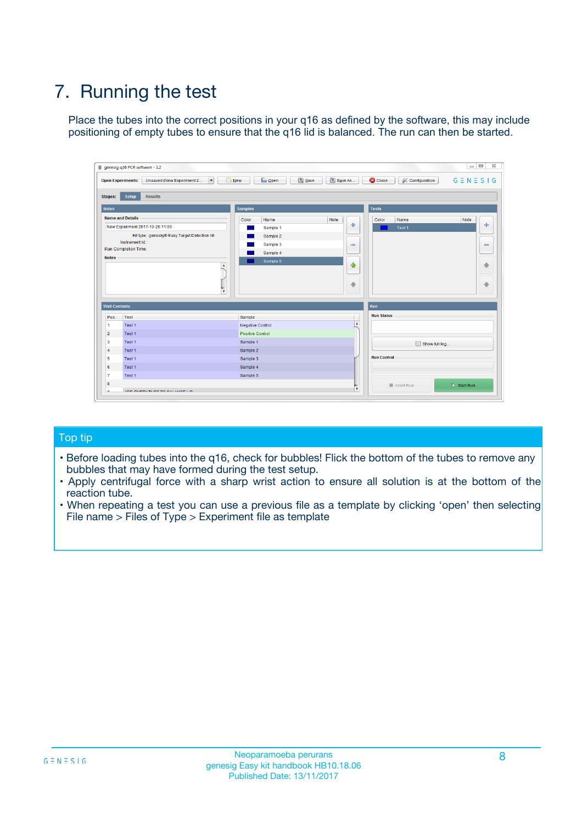# 7. Running the test

Place the tubes into the correct positions in your q16 as defined by the software, this may include positioning of empty tubes to ensure that the q16 lid is balanced. The run can then be started.

| genesig q16 PCR software - 1.2                                                    |                                            |                              |                                          | $\Box$ $\Box$<br>$\Sigma\!3$ |
|-----------------------------------------------------------------------------------|--------------------------------------------|------------------------------|------------------------------------------|------------------------------|
| $\overline{\phantom{a}}$<br><b>Open Experiments:</b><br>Unsaved (New Experiment 2 | <b>D</b> Open<br>Save<br>$\frac{1}{2}$ New | Save As                      | <b>C</b> Close<br><b>X</b> Configuration | $G \equiv N \equiv S \mid G$ |
| <b>Setup</b><br><b>Results</b><br><b>Stages:</b>                                  |                                            |                              |                                          |                              |
| <b>Notes</b>                                                                      | <b>Samples</b>                             |                              | <b>Tests</b>                             |                              |
| <b>Name and Details</b>                                                           | Color<br>Name                              | Note                         | Name<br>Color                            | Note                         |
| New Experiment 2017-10-26 11:06                                                   | Sample 1                                   | 좋                            | Test <sub>1</sub>                        | علي                          |
| Kit type: genesig® Easy Target Detection kit                                      | Sample 2                                   |                              |                                          |                              |
| Instrument Id.:                                                                   | Sample 3                                   | $\qquad \qquad \blacksquare$ |                                          | $\qquad \qquad \blacksquare$ |
| <b>Run Completion Time:</b>                                                       | Sample 4                                   |                              |                                          |                              |
| <b>Notes</b><br>$\blacktriangle$<br>$\overline{\mathbf{v}}$                       | Sample 5                                   | $\triangle$<br>⊕             |                                          | ♠<br>⊕                       |
| <b>Well Contents</b>                                                              |                                            | <b>Run</b>                   |                                          |                              |
| Pos.<br>Test                                                                      | Sample                                     |                              | <b>Run Status</b>                        |                              |
| $\overline{1}$<br>Test 1                                                          | <b>Negative Control</b>                    | $\overline{\phantom{a}}$     |                                          |                              |
| $\overline{2}$<br>Test 1                                                          | Positive Control                           |                              |                                          |                              |
| 3<br>Test 1                                                                       | Sample 1                                   |                              | Show full log                            |                              |
| Test 1<br>$\overline{4}$                                                          | Sample 2                                   |                              |                                          |                              |
| 5<br>Test 1                                                                       | Sample 3                                   |                              | <b>Run Control</b>                       |                              |
| 6<br>Test 1                                                                       | Sample 4                                   |                              |                                          |                              |
| $\overline{7}$<br>Test 1                                                          | Sample 5                                   |                              |                                          |                              |
| 8                                                                                 |                                            |                              | Abort Run                                | $\triangleright$ Start Run   |
| <b>JOD FURTY TUDE TO BUILDED IN</b><br>$\sim$                                     |                                            | v                            |                                          |                              |

## Top tip

- Before loading tubes into the q16, check for bubbles! Flick the bottom of the tubes to remove any bubbles that may have formed during the test setup.
- Apply centrifugal force with a sharp wrist action to ensure all solution is at the bottom of the reaction tube.
- When repeating a test you can use a previous file as a template by clicking 'open' then selecting File name > Files of Type > Experiment file as template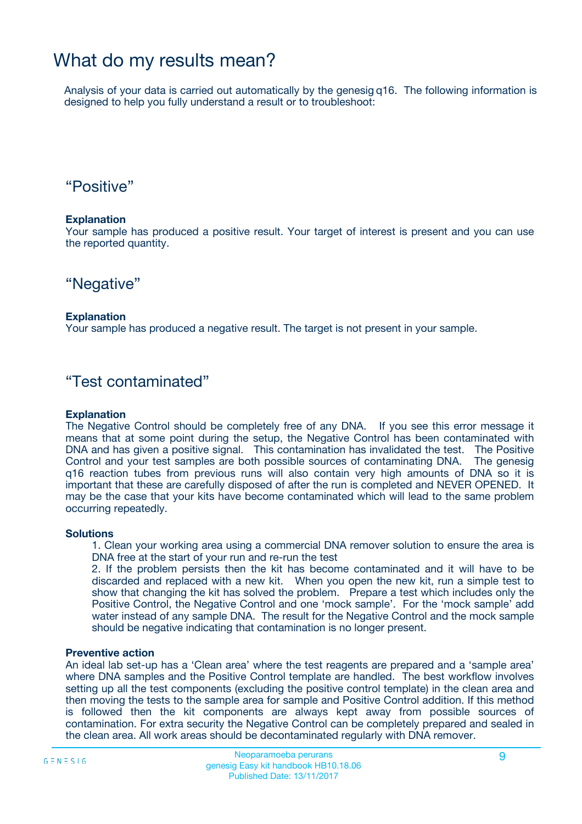## What do my results mean?

Analysis of your data is carried out automatically by the genesig q16. The following information is designed to help you fully understand a result or to troubleshoot:

## "Positive"

## **Explanation**

Your sample has produced a positive result. Your target of interest is present and you can use the reported quantity.

## "Negative"

## **Explanation**

Your sample has produced a negative result. The target is not present in your sample.

## "Test contaminated"

## **Explanation**

The Negative Control should be completely free of any DNA. If you see this error message it means that at some point during the setup, the Negative Control has been contaminated with DNA and has given a positive signal. This contamination has invalidated the test. The Positive Control and your test samples are both possible sources of contaminating DNA. The genesig q16 reaction tubes from previous runs will also contain very high amounts of DNA so it is important that these are carefully disposed of after the run is completed and NEVER OPENED. It may be the case that your kits have become contaminated which will lead to the same problem occurring repeatedly.

### **Solutions**

1. Clean your working area using a commercial DNA remover solution to ensure the area is DNA free at the start of your run and re-run the test

2. If the problem persists then the kit has become contaminated and it will have to be discarded and replaced with a new kit. When you open the new kit, run a simple test to show that changing the kit has solved the problem. Prepare a test which includes only the Positive Control, the Negative Control and one 'mock sample'. For the 'mock sample' add water instead of any sample DNA. The result for the Negative Control and the mock sample should be negative indicating that contamination is no longer present.

### **Preventive action**

An ideal lab set-up has a 'Clean area' where the test reagents are prepared and a 'sample area' where DNA samples and the Positive Control template are handled. The best workflow involves setting up all the test components (excluding the positive control template) in the clean area and then moving the tests to the sample area for sample and Positive Control addition. If this method is followed then the kit components are always kept away from possible sources of contamination. For extra security the Negative Control can be completely prepared and sealed in the clean area. All work areas should be decontaminated regularly with DNA remover.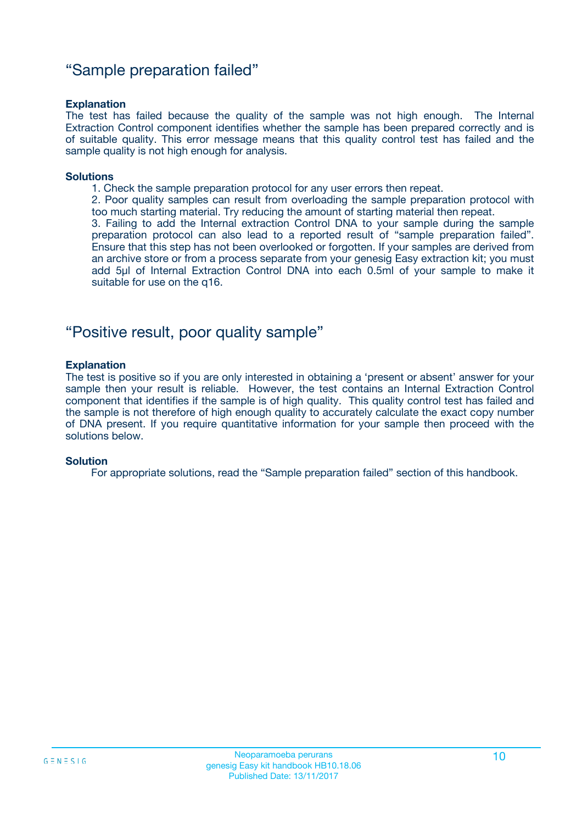## "Sample preparation failed"

## **Explanation**

The test has failed because the quality of the sample was not high enough. The Internal Extraction Control component identifies whether the sample has been prepared correctly and is of suitable quality. This error message means that this quality control test has failed and the sample quality is not high enough for analysis.

#### **Solutions**

1. Check the sample preparation protocol for any user errors then repeat.

2. Poor quality samples can result from overloading the sample preparation protocol with too much starting material. Try reducing the amount of starting material then repeat.

3. Failing to add the Internal extraction Control DNA to your sample during the sample preparation protocol can also lead to a reported result of "sample preparation failed". Ensure that this step has not been overlooked or forgotten. If your samples are derived from an archive store or from a process separate from your genesig Easy extraction kit; you must add 5µl of Internal Extraction Control DNA into each 0.5ml of your sample to make it suitable for use on the q16.

## "Positive result, poor quality sample"

### **Explanation**

The test is positive so if you are only interested in obtaining a 'present or absent' answer for your sample then your result is reliable. However, the test contains an Internal Extraction Control component that identifies if the sample is of high quality. This quality control test has failed and the sample is not therefore of high enough quality to accurately calculate the exact copy number of DNA present. If you require quantitative information for your sample then proceed with the solutions below.

### **Solution**

For appropriate solutions, read the "Sample preparation failed" section of this handbook.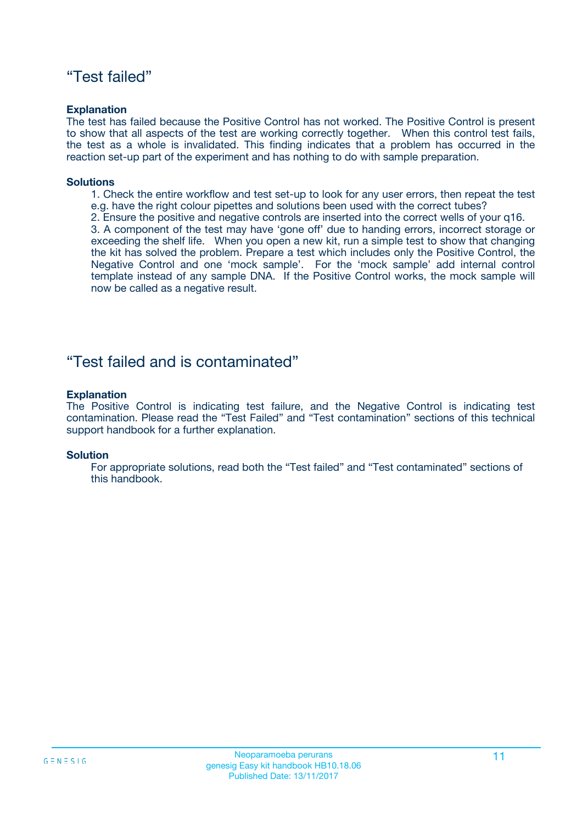## "Test failed"

## **Explanation**

The test has failed because the Positive Control has not worked. The Positive Control is present to show that all aspects of the test are working correctly together. When this control test fails, the test as a whole is invalidated. This finding indicates that a problem has occurred in the reaction set-up part of the experiment and has nothing to do with sample preparation.

## **Solutions**

- 1. Check the entire workflow and test set-up to look for any user errors, then repeat the test e.g. have the right colour pipettes and solutions been used with the correct tubes?
- 2. Ensure the positive and negative controls are inserted into the correct wells of your q16.

3. A component of the test may have 'gone off' due to handing errors, incorrect storage or exceeding the shelf life. When you open a new kit, run a simple test to show that changing the kit has solved the problem. Prepare a test which includes only the Positive Control, the Negative Control and one 'mock sample'. For the 'mock sample' add internal control template instead of any sample DNA. If the Positive Control works, the mock sample will now be called as a negative result.

## "Test failed and is contaminated"

## **Explanation**

The Positive Control is indicating test failure, and the Negative Control is indicating test contamination. Please read the "Test Failed" and "Test contamination" sections of this technical support handbook for a further explanation.

### **Solution**

For appropriate solutions, read both the "Test failed" and "Test contaminated" sections of this handbook.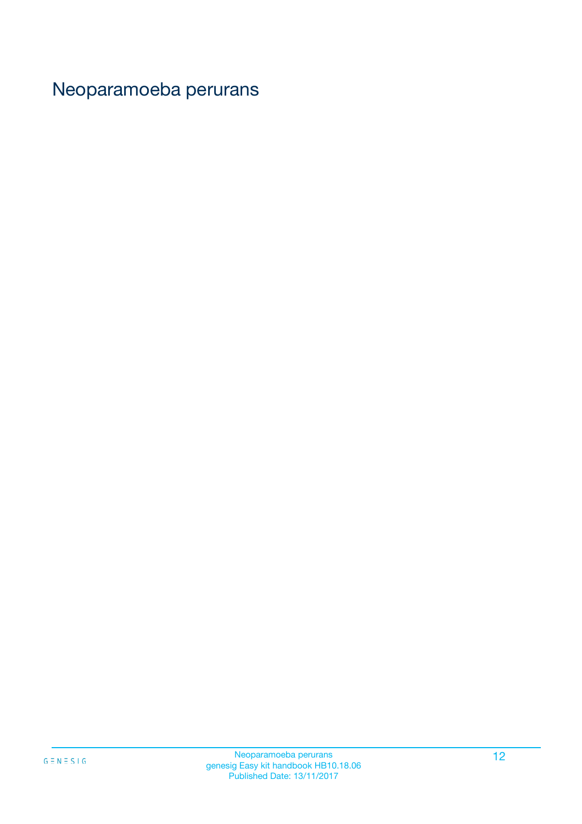# Neoparamoeba perurans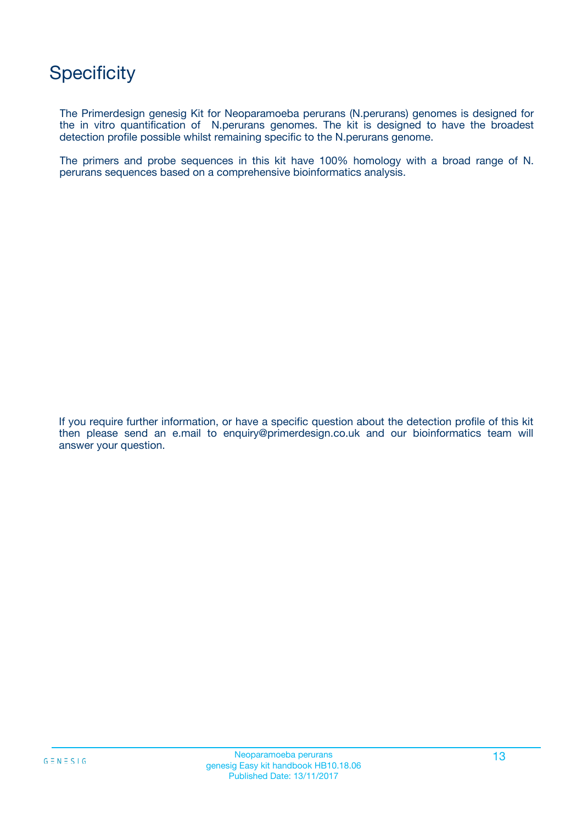# **Specificity**

The Primerdesign genesig Kit for Neoparamoeba perurans (N.perurans) genomes is designed for the in vitro quantification of N.perurans genomes. The kit is designed to have the broadest detection profile possible whilst remaining specific to the N.perurans genome.

The primers and probe sequences in this kit have 100% homology with a broad range of N. perurans sequences based on a comprehensive bioinformatics analysis.

If you require further information, or have a specific question about the detection profile of this kit then please send an e.mail to enquiry@primerdesign.co.uk and our bioinformatics team will answer your question.